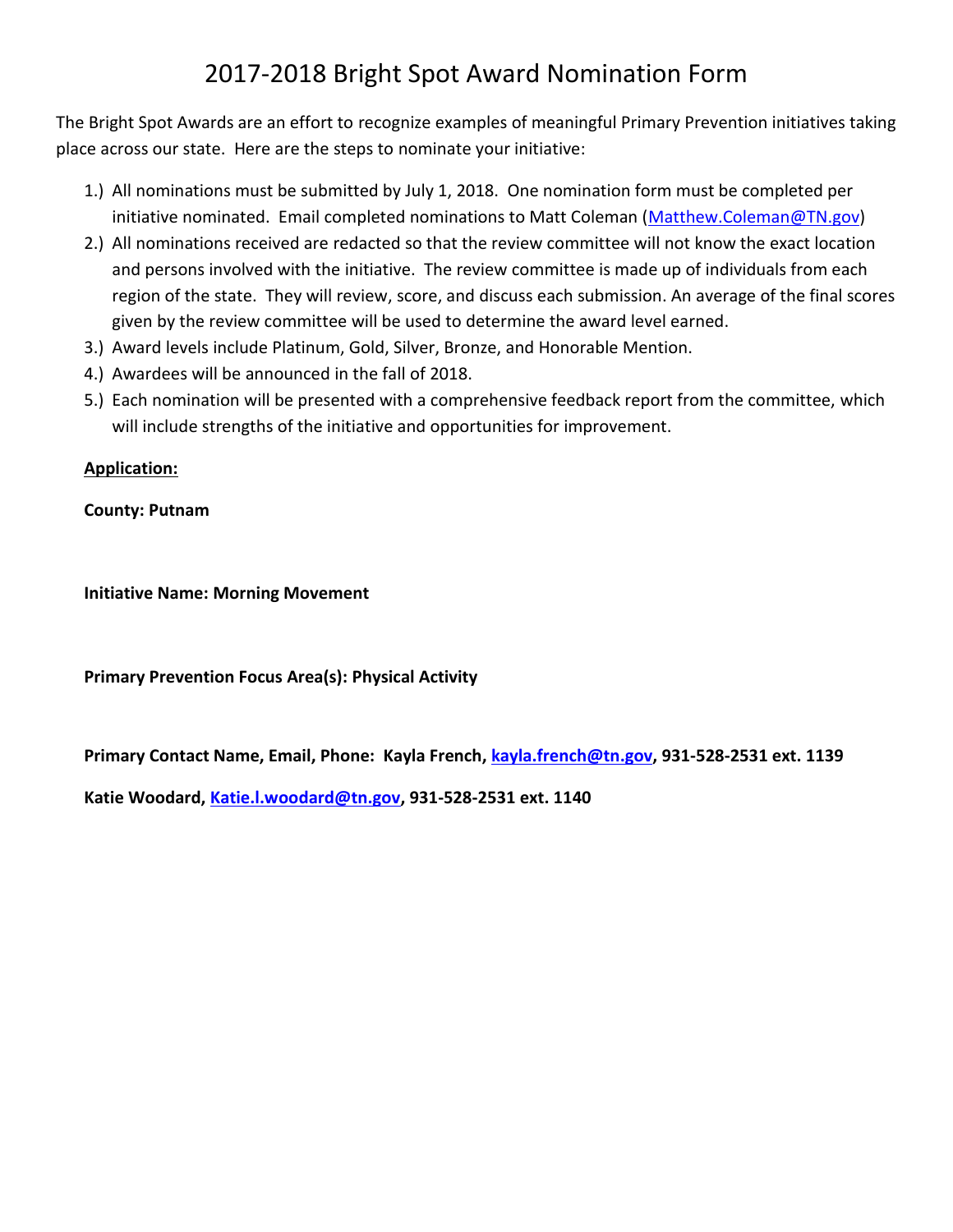## 2017-2018 Bright Spot Award Nomination Form

The Bright Spot Awards are an effort to recognize examples of meaningful Primary Prevention initiatives taking place across our state. Here are the steps to nominate your initiative:

- 1.) All nominations must be submitted by July 1, 2018. One nomination form must be completed per initiative nominated. Email completed nominations to Matt Coleman [\(Matthew.Coleman@TN.gov\)](mailto:Matthew.Coleman@TN.gov)
- 2.) All nominations received are redacted so that the review committee will not know the exact location and persons involved with the initiative. The review committee is made up of individuals from each region of the state. They will review, score, and discuss each submission. An average of the final scores given by the review committee will be used to determine the award level earned.
- 3.) Award levels include Platinum, Gold, Silver, Bronze, and Honorable Mention.
- 4.) Awardees will be announced in the fall of 2018.
- 5.) Each nomination will be presented with a comprehensive feedback report from the committee, which will include strengths of the initiative and opportunities for improvement.

## **Application:**

**County: Putnam**

**Initiative Name: Morning Movement**

**Primary Prevention Focus Area(s): Physical Activity**

**Primary Contact Name, Email, Phone: Kayla French, [kayla.french@tn.gov,](mailto:kayla.french@tn.gov) 931-528-2531 ext. 1139**

**Katie Woodard, [Katie.l.woodard@tn.gov,](mailto:Katie.l.woodard@tn.gov) 931-528-2531 ext. 1140**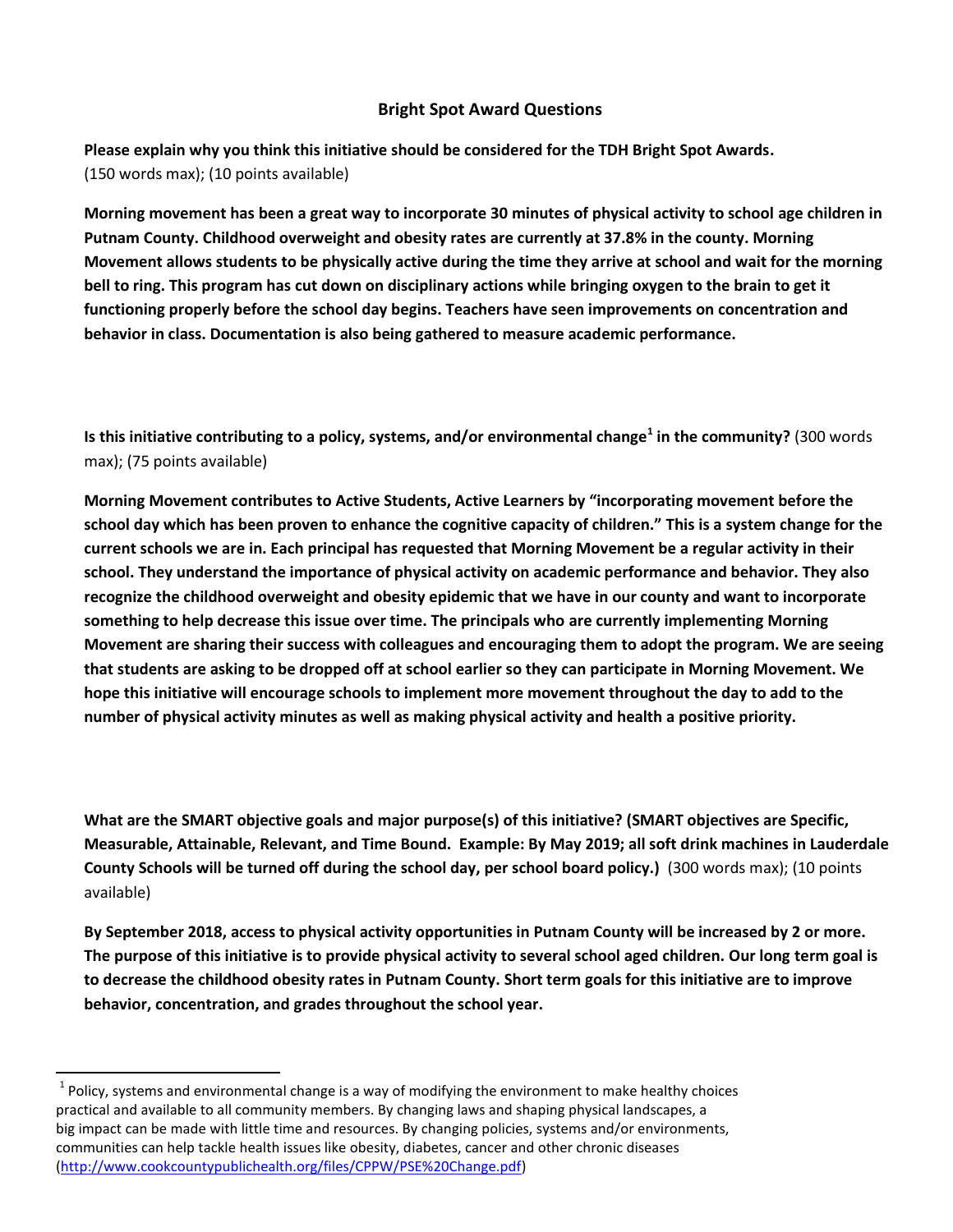## **Bright Spot Award Questions**

**Please explain why you think this initiative should be considered for the TDH Bright Spot Awards.** (150 words max); (10 points available)

**Morning movement has been a great way to incorporate 30 minutes of physical activity to school age children in Putnam County. Childhood overweight and obesity rates are currently at 37.8% in the county. Morning Movement allows students to be physically active during the time they arrive at school and wait for the morning bell to ring. This program has cut down on disciplinary actions while bringing oxygen to the brain to get it functioning properly before the school day begins. Teachers have seen improvements on concentration and behavior in class. Documentation is also being gathered to measure academic performance.**

**Is this initiative contributing to a policy, systems, and/or environmental change<sup>1</sup> in the community?** (300 words max); (75 points available)

**Morning Movement contributes to Active Students, Active Learners by "incorporating movement before the school day which has been proven to enhance the cognitive capacity of children." This is a system change for the current schools we are in. Each principal has requested that Morning Movement be a regular activity in their school. They understand the importance of physical activity on academic performance and behavior. They also recognize the childhood overweight and obesity epidemic that we have in our county and want to incorporate something to help decrease this issue over time. The principals who are currently implementing Morning Movement are sharing their success with colleagues and encouraging them to adopt the program. We are seeing that students are asking to be dropped off at school earlier so they can participate in Morning Movement. We hope this initiative will encourage schools to implement more movement throughout the day to add to the number of physical activity minutes as well as making physical activity and health a positive priority.** 

**What are the SMART objective goals and major purpose(s) of this initiative? (SMART objectives are Specific, Measurable, Attainable, Relevant, and Time Bound. Example: By May 2019; all soft drink machines in Lauderdale County Schools will be turned off during the school day, per school board policy.)** (300 words max); (10 points available)

**By September 2018, access to physical activity opportunities in Putnam County will be increased by 2 or more. The purpose of this initiative is to provide physical activity to several school aged children. Our long term goal is to decrease the childhood obesity rates in Putnam County. Short term goals for this initiative are to improve behavior, concentration, and grades throughout the school year.**

l

 $^{1}$  Policy, systems and environmental change is a way of modifying the environment to make healthy choices practical and available to all community members. By changing laws and shaping physical landscapes, a big impact can be made with little time and resources. By changing policies, systems and/or environments, communities can help tackle health issues like obesity, diabetes, cancer and other chronic diseases [\(http://www.cookcountypublichealth.org/files/CPPW/PSE%20Change.pdf\)](http://www.cookcountypublichealth.org/files/CPPW/PSE%20Change.pdf)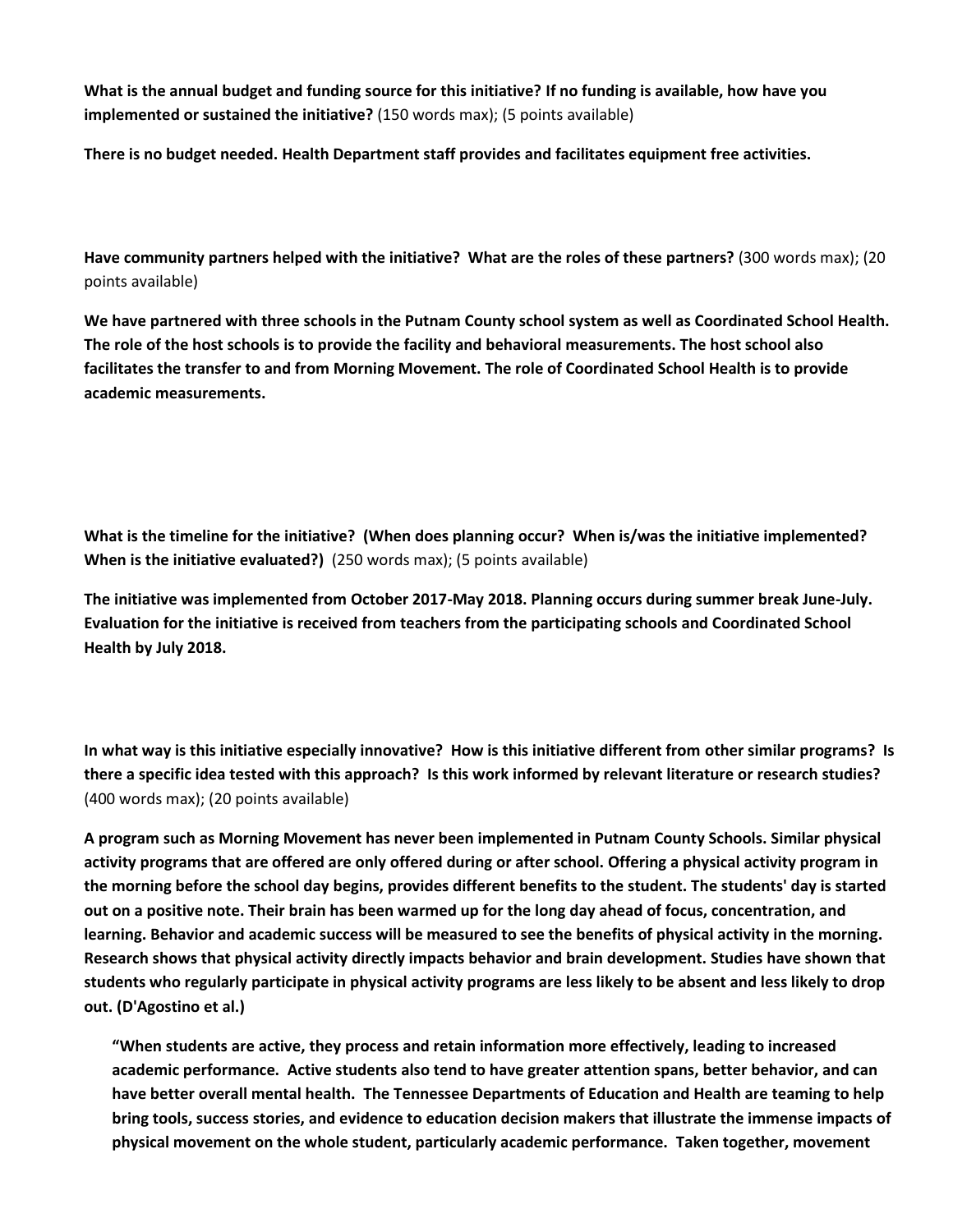**What is the annual budget and funding source for this initiative? If no funding is available, how have you implemented or sustained the initiative?** (150 words max); (5 points available)

**There is no budget needed. Health Department staff provides and facilitates equipment free activities.**

**Have community partners helped with the initiative? What are the roles of these partners?** (300 words max); (20 points available)

**We have partnered with three schools in the Putnam County school system as well as Coordinated School Health. The role of the host schools is to provide the facility and behavioral measurements. The host school also facilitates the transfer to and from Morning Movement. The role of Coordinated School Health is to provide academic measurements.** 

**What is the timeline for the initiative? (When does planning occur? When is/was the initiative implemented? When is the initiative evaluated?)** (250 words max); (5 points available)

**The initiative was implemented from October 2017-May 2018. Planning occurs during summer break June-July. Evaluation for the initiative is received from teachers from the participating schools and Coordinated School Health by July 2018.** 

**In what way is this initiative especially innovative? How is this initiative different from other similar programs? Is there a specific idea tested with this approach? Is this work informed by relevant literature or research studies?**  (400 words max); (20 points available)

**A program such as Morning Movement has never been implemented in Putnam County Schools. Similar physical activity programs that are offered are only offered during or after school. Offering a physical activity program in the morning before the school day begins, provides different benefits to the student. The students' day is started out on a positive note. Their brain has been warmed up for the long day ahead of focus, concentration, and learning. Behavior and academic success will be measured to see the benefits of physical activity in the morning. Research shows that physical activity directly impacts behavior and brain development. Studies have shown that students who regularly participate in physical activity programs are less likely to be absent and less likely to drop out. (D'Agostino et al.)** 

**"When students are active, they process and retain information more effectively, leading to increased academic performance. Active students also tend to have greater attention spans, better behavior, and can have better overall mental health. The Tennessee Departments of Education and Health are teaming to help bring tools, success stories, and evidence to education decision makers that illustrate the immense impacts of physical movement on the whole student, particularly academic performance. Taken together, movement**